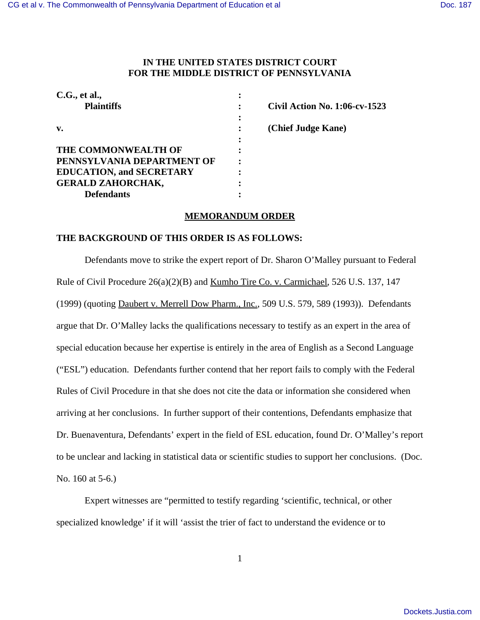## **IN THE UNITED STATES DISTRICT COURT FOR THE MIDDLE DISTRICT OF PENNSYLVANIA**

| C.G., et al.,                   |                                      |
|---------------------------------|--------------------------------------|
| <b>Plaintiffs</b>               | <b>Civil Action No. 1:06-cv-1523</b> |
|                                 |                                      |
| v.                              | (Chief Judge Kane)                   |
|                                 |                                      |
| THE COMMONWEALTH OF             |                                      |
| PENNSYLVANIA DEPARTMENT OF      |                                      |
| <b>EDUCATION, and SECRETARY</b> |                                      |
| <b>GERALD ZAHORCHAK,</b>        |                                      |
| <b>Defendants</b>               |                                      |

## **MEMORANDUM ORDER**

## **THE BACKGROUND OF THIS ORDER IS AS FOLLOWS:**

Defendants move to strike the expert report of Dr. Sharon O'Malley pursuant to Federal Rule of Civil Procedure 26(a)(2)(B) and Kumho Tire Co. v. Carmichael, 526 U.S. 137, 147 (1999) (quoting Daubert v. Merrell Dow Pharm., Inc., 509 U.S. 579, 589 (1993)). Defendants argue that Dr. O'Malley lacks the qualifications necessary to testify as an expert in the area of special education because her expertise is entirely in the area of English as a Second Language ("ESL") education. Defendants further contend that her report fails to comply with the Federal Rules of Civil Procedure in that she does not cite the data or information she considered when arriving at her conclusions. In further support of their contentions, Defendants emphasize that Dr. Buenaventura, Defendants' expert in the field of ESL education, found Dr. O'Malley's report to be unclear and lacking in statistical data or scientific studies to support her conclusions. (Doc. No. 160 at 5-6.)

Expert witnesses are "permitted to testify regarding 'scientific, technical, or other specialized knowledge' if it will 'assist the trier of fact to understand the evidence or to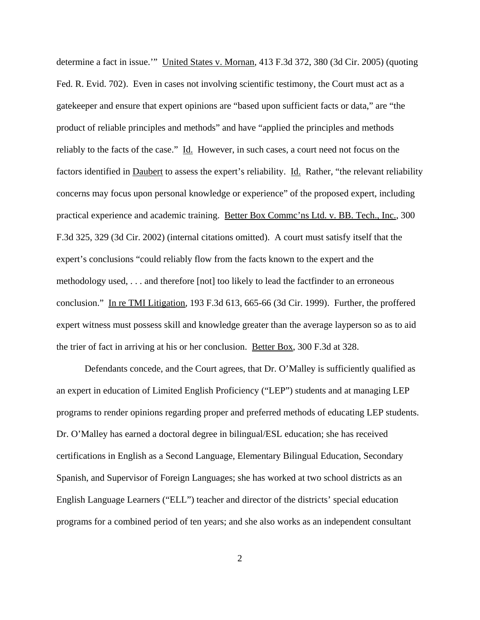determine a fact in issue.'" United States v. Mornan, 413 F.3d 372, 380 (3d Cir. 2005) (quoting Fed. R. Evid. 702). Even in cases not involving scientific testimony, the Court must act as a gatekeeper and ensure that expert opinions are "based upon sufficient facts or data," are "the product of reliable principles and methods" and have "applied the principles and methods reliably to the facts of the case." Id. However, in such cases, a court need not focus on the factors identified in **Daubert** to assess the expert's reliability. **Id.** Rather, "the relevant reliability concerns may focus upon personal knowledge or experience" of the proposed expert, including practical experience and academic training. Better Box Commc'ns Ltd. v. BB. Tech., Inc., 300 F.3d 325, 329 (3d Cir. 2002) (internal citations omitted). A court must satisfy itself that the expert's conclusions "could reliably flow from the facts known to the expert and the methodology used, . . . and therefore [not] too likely to lead the factfinder to an erroneous conclusion." In re TMI Litigation, 193 F.3d 613, 665-66 (3d Cir. 1999). Further, the proffered expert witness must possess skill and knowledge greater than the average layperson so as to aid the trier of fact in arriving at his or her conclusion. Better Box, 300 F.3d at 328.

Defendants concede, and the Court agrees, that Dr. O'Malley is sufficiently qualified as an expert in education of Limited English Proficiency ("LEP") students and at managing LEP programs to render opinions regarding proper and preferred methods of educating LEP students. Dr. O'Malley has earned a doctoral degree in bilingual/ESL education; she has received certifications in English as a Second Language, Elementary Bilingual Education, Secondary Spanish, and Supervisor of Foreign Languages; she has worked at two school districts as an English Language Learners ("ELL") teacher and director of the districts' special education programs for a combined period of ten years; and she also works as an independent consultant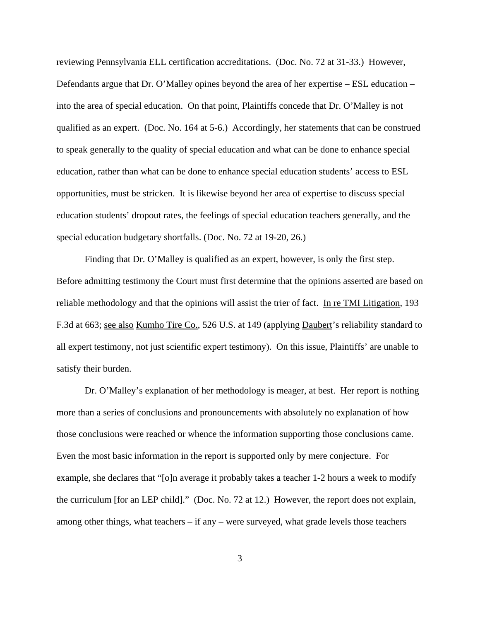reviewing Pennsylvania ELL certification accreditations. (Doc. No. 72 at 31-33.) However, Defendants argue that Dr. O'Malley opines beyond the area of her expertise – ESL education – into the area of special education. On that point, Plaintiffs concede that Dr. O'Malley is not qualified as an expert. (Doc. No. 164 at 5-6.) Accordingly, her statements that can be construed to speak generally to the quality of special education and what can be done to enhance special education, rather than what can be done to enhance special education students' access to ESL opportunities, must be stricken. It is likewise beyond her area of expertise to discuss special education students' dropout rates, the feelings of special education teachers generally, and the special education budgetary shortfalls. (Doc. No. 72 at 19-20, 26.)

Finding that Dr. O'Malley is qualified as an expert, however, is only the first step. Before admitting testimony the Court must first determine that the opinions asserted are based on reliable methodology and that the opinions will assist the trier of fact. In re TMI Litigation, 193 F.3d at 663; see also Kumho Tire Co., 526 U.S. at 149 (applying Daubert's reliability standard to all expert testimony, not just scientific expert testimony). On this issue, Plaintiffs' are unable to satisfy their burden.

Dr. O'Malley's explanation of her methodology is meager, at best. Her report is nothing more than a series of conclusions and pronouncements with absolutely no explanation of how those conclusions were reached or whence the information supporting those conclusions came. Even the most basic information in the report is supported only by mere conjecture. For example, she declares that "[o]n average it probably takes a teacher 1-2 hours a week to modify the curriculum [for an LEP child]." (Doc. No. 72 at 12.) However, the report does not explain, among other things, what teachers – if any – were surveyed, what grade levels those teachers

3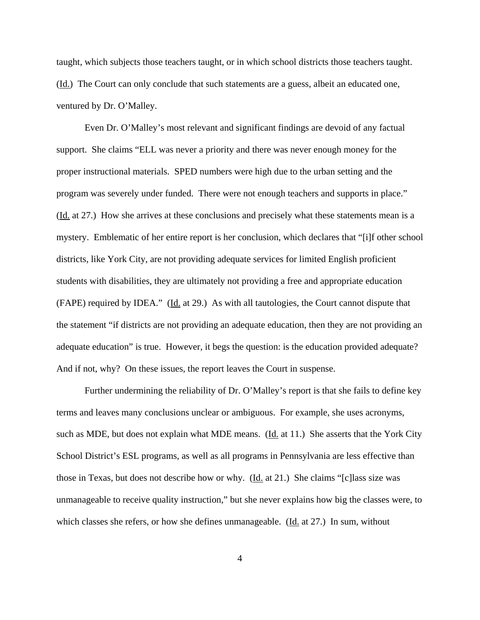taught, which subjects those teachers taught, or in which school districts those teachers taught. (Id.) The Court can only conclude that such statements are a guess, albeit an educated one, ventured by Dr. O'Malley.

Even Dr. O'Malley's most relevant and significant findings are devoid of any factual support. She claims "ELL was never a priority and there was never enough money for the proper instructional materials. SPED numbers were high due to the urban setting and the program was severely under funded. There were not enough teachers and supports in place." (Id. at 27.) How she arrives at these conclusions and precisely what these statements mean is a mystery. Emblematic of her entire report is her conclusion, which declares that "[i]f other school districts, like York City, are not providing adequate services for limited English proficient students with disabilities, they are ultimately not providing a free and appropriate education (FAPE) required by IDEA." (Id. at 29.) As with all tautologies, the Court cannot dispute that the statement "if districts are not providing an adequate education, then they are not providing an adequate education" is true. However, it begs the question: is the education provided adequate? And if not, why? On these issues, the report leaves the Court in suspense.

Further undermining the reliability of Dr. O'Malley's report is that she fails to define key terms and leaves many conclusions unclear or ambiguous. For example, she uses acronyms, such as MDE, but does not explain what MDE means. ( $\underline{Id}$ , at 11.) She asserts that the York City School District's ESL programs, as well as all programs in Pennsylvania are less effective than those in Texas, but does not describe how or why. (Id. at 21.) She claims "[c]lass size was unmanageable to receive quality instruction," but she never explains how big the classes were, to which classes she refers, or how she defines unmanageable. (Id. at 27.) In sum, without

4